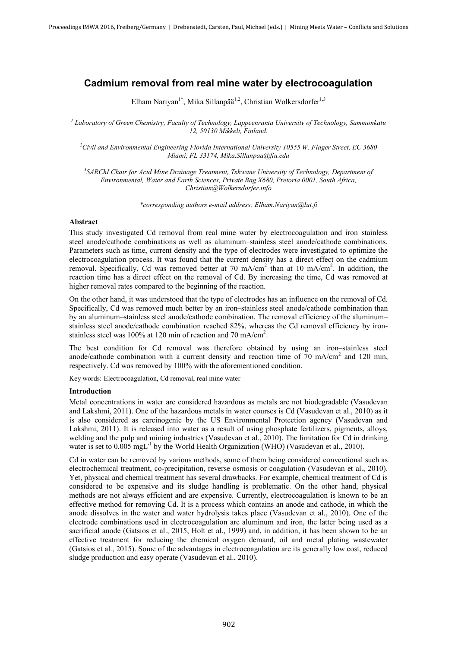# Cadmium removal from real mine water by electrocoagulation

Elham Nariyan<sup>1\*</sup>, Mika Sillanpää<sup>1,2</sup>, Christian Wolkersdorfer<sup>1,3</sup>

*<sup>1</sup> Laboratory of Green Chemistry, Faculty of Technology, Lappeenranta University of Technology, Sammonkatu 12, 50130 Mikkeli, Finland.* 

*2 Civil and Environmental Engineering Florida International University 10555 W. Flager Street, EC 3680 Miami, FL 33174, Mika.Sillanpaa@fiu.edu*

*3 SARChI Chair for Acid Mine Drainage Treatment, Tshwane University of Technology, Department of Environmental, Water and Earth Sciences, Private Bag X680, Pretoria 0001, South Africa, Christian@Wolkersdorfer.info* 

*\*corresponding authors e-mail address: Elham.Nariyan@lut.fi* 

#### Abstract

This study investigated Cd removal from real mine water by electrocoagulation and iron–stainless steel anode/cathode combinations as well as aluminum–stainless steel anode/cathode combinations. Parameters such as time, current density and the type of electrodes were investigated to optimize the electrocoagulation process. It was found that the current density has a direct effect on the cadmium removal. Specifically, Cd was removed better at 70 mA/cm<sup>2</sup> than at 10 mA/cm<sup>2</sup>. In addition, the reaction time has a direct effect on the removal of Cd. By increasing the time, Cd was removed at higher removal rates compared to the beginning of the reaction.

On the other hand, it was understood that the type of electrodes has an influence on the removal of Cd. Specifically, Cd was removed much better by an iron–stainless steel anode/cathode combination than by an aluminum–stainless steel anode/cathode combination. The removal efficiency of the aluminum– stainless steel anode/cathode combination reached 82%, whereas the Cd removal efficiency by ironstainless steel was 100% at 120 min of reaction and 70 mA/cm<sup>2</sup>.

The best condition for Cd removal was therefore obtained by using an iron–stainless steel anode/cathode combination with a current density and reaction time of  $70 \text{ mA/cm}^2$  and 120 min, respectively. Cd was removed by 100% with the aforementioned condition.

Key words: Electrocoagulation, Cd removal, real mine water

# Introduction

Metal concentrations in water are considered hazardous as metals are not biodegradable (Vasudevan and Lakshmi, 2011). One of the hazardous metals in water courses is Cd (Vasudevan et al., 2010) as it is also considered as carcinogenic by the US Environmental Protection agency (Vasudevan and Lakshmi, 2011). It is released into water as a result of using phosphate fertilizers, pigments, alloys, welding and the pulp and mining industries (Vasudevan et al., 2010). The limitation for Cd in drinking water is set to  $0.005 \text{ mgL}^{-1}$  by the World Health Organization (WHO) (Vasudevan et al., 2010).

Cd in water can be removed by various methods, some of them being considered conventional such as electrochemical treatment, co-precipitation, reverse osmosis or coagulation (Vasudevan et al., 2010). Yet, physical and chemical treatment has several drawbacks. For example, chemical treatment of Cd is considered to be expensive and its sludge handling is problematic. On the other hand, physical methods are not always efficient and are expensive. Currently, electrocoagulation is known to be an effective method for removing Cd. It is a process which contains an anode and cathode, in which the anode dissolves in the water and water hydrolysis takes place (Vasudevan et al., 2010). One of the electrode combinations used in electrocoagulation are aluminum and iron, the latter being used as a sacrificial anode (Gatsios et al., 2015, Holt et al., 1999) and, in addition, it has been shown to be an effective treatment for reducing the chemical oxygen demand, oil and metal plating wastewater (Gatsios et al., 2015). Some of the advantages in electrocoagulation are its generally low cost, reduced sludge production and easy operate (Vasudevan et al., 2010).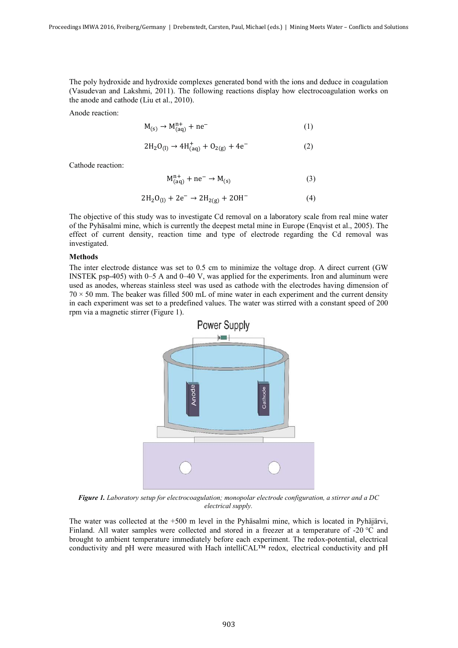The poly hydroxide and hydroxide complexes generated bond with the ions and deduce in coagulation (Vasudevan and Lakshmi, 2011). The following reactions display how electrocoagulation works on the anode and cathode (Liu et al., 2010).

Anode reaction:

$$
M_{(s)} \to M_{(aq)}^{n+} + ne^{-}
$$
 (1)

$$
2H_2O_{(1)} \rightarrow 4H^+_{(aq)} + O_{2(g)} + 4e^-
$$
 (2)

Cathode reaction:

$$
M_{(aq)}^{n+} + ne^- \rightarrow M_{(s)}
$$
 (3)

$$
2H_2O_{(1)} + 2e^- \rightarrow 2H_{2(g)} + 2OH^-
$$
 (4)

The objective of this study was to investigate Cd removal on a laboratory scale from real mine water of the Pyhäsalmi mine, which is currently the deepest metal mine in Europe (Enqvist et al., 2005). The effect of current density, reaction time and type of electrode regarding the Cd removal was investigated.

## Methods

The inter electrode distance was set to 0.5 cm to minimize the voltage drop. A direct current (GW INSTEK psp-405) with 0–5 A and 0–40 V, was applied for the experiments. Iron and aluminum were used as anodes, whereas stainless steel was used as cathode with the electrodes having dimension of  $70 \times 50$  mm. The beaker was filled 500 mL of mine water in each experiment and the current density in each experiment was set to a predefined values. The water was stirred with a constant speed of 200 rpm via a magnetic stirrer (Figure 1).



*Figure 1. Laboratory setup for electrocoagulation; monopolar electrode configuration, a stirrer and a DC electrical supply.* 

The water was collected at the +500 m level in the Pyhäsalmi mine, which is located in Pyhäjärvi, Finland. All water samples were collected and stored in a freezer at a temperature of -20 °C and brought to ambient temperature immediately before each experiment. The redox-potential, electrical conductivity and pH were measured with Hach intelliCAL™ redox, electrical conductivity and pH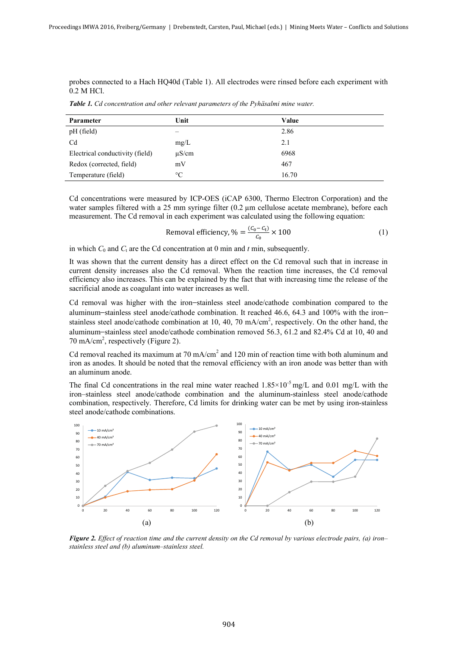probes connected to a Hach HQ40d (Table 1). All electrodes were rinsed before each experiment with 0.2 M HCl.

*Table 1. Cd concentration and other relevant parameters of the Pyhäsalmi mine water.* 

| Parameter                       | Unit            | Value |
|---------------------------------|-----------------|-------|
| pH (field)                      |                 | 2.86  |
| Cd                              | mg/L            | 2.1   |
| Electrical conductivity (field) | $\mu$ S/cm      | 6968  |
| Redox (corrected, field)        | mV              | 467   |
| Temperature (field)             | $\rm ^{\circ}C$ | 16.70 |

Cd concentrations were measured by ICP-OES (iCAP 6300, Thermo Electron Corporation) and the water samples filtered with a 25 mm syringe filter (0.2 μm cellulose acetate membrane), before each measurement. The Cd removal in each experiment was calculated using the following equation:

Removal efficiency, 
$$
\% = \frac{(C_0 - C_t)}{C_0} \times 100
$$
 (1)

in which  $C_0$  and  $C_t$  are the Cd concentration at 0 min and *t* min, subsequently.

It was shown that the current density has a direct effect on the Cd removal such that in increase in current density increases also the Cd removal. When the reaction time increases, the Cd removal efficiency also increases. This can be explained by the fact that with increasing time the release of the sacrificial anode as coagulant into water increases as well.

Cd removal was higher with the iron–stainless steel anode/cathode combination compared to the aluminum–stainless steel anode/cathode combination. It reached 46.6, 64.3 and 100% with the iron– stainless steel anode/cathode combination at 10, 40, 70 mA/cm<sup>2</sup>, respectively. On the other hand, the aluminum–stainless steel anode/cathode combination removed 56.3, 61.2 and 82.4% Cd at 10, 40 and 70 mA/cm<sup>2</sup>, respectively (Figure 2).

Cd removal reached its maximum at  $70 \text{ mA/cm}^2$  and  $120 \text{ min}$  of reaction time with both aluminum and iron as anodes. It should be noted that the removal efficiency with an iron anode was better than with an aluminum anode.

The final Cd concentrations in the real mine water reached  $1.85 \times 10^{-5}$  mg/L and 0.01 mg/L with the iron–stainless steel anode/cathode combination and the aluminum-stainless steel anode/cathode combination, respectively. Therefore, Cd limits for drinking water can be met by using iron-stainless steel anode/cathode combinations.



*Figure 2. Effect of reaction time and the current density on the Cd removal by various electrode pairs, (a) iron– stainless steel and (b) aluminum–stainless steel.*